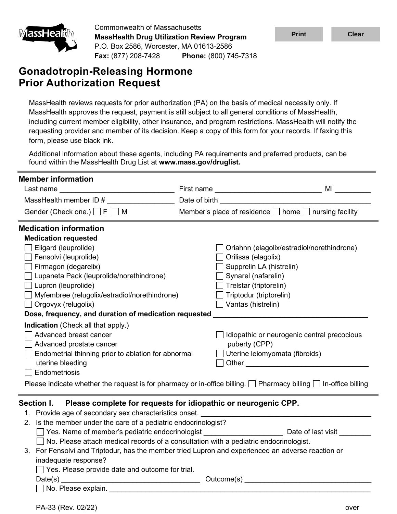

Commonwealth of Massachusetts **MassHealth Drug Utilization Review Program** P.O. Box 2586, Worcester, MA 01613-2586 **Fax:** (877) 208-7428 **Phone:** (800) 745-7318

# **Gonadotropin-Releasing Hormone Prior Authorization Request**

| <u>MassHealun</u>                                                                                 | <b>Print</b>                                                    | <b>Clear</b>                                                                                                                                                                                                             |                                             |                                                                                                                                                                                                                                |
|---------------------------------------------------------------------------------------------------|-----------------------------------------------------------------|--------------------------------------------------------------------------------------------------------------------------------------------------------------------------------------------------------------------------|---------------------------------------------|--------------------------------------------------------------------------------------------------------------------------------------------------------------------------------------------------------------------------------|
|                                                                                                   | P.O. Box 2586, Worcester, MA 01613-2586                         |                                                                                                                                                                                                                          |                                             |                                                                                                                                                                                                                                |
|                                                                                                   | Fax: (877) 208-7428 Phone: (800) 745-7318                       |                                                                                                                                                                                                                          |                                             |                                                                                                                                                                                                                                |
|                                                                                                   | <b>Gonadotropin-Releasing Hormone</b>                           |                                                                                                                                                                                                                          |                                             |                                                                                                                                                                                                                                |
|                                                                                                   | <b>Prior Authorization Request</b>                              |                                                                                                                                                                                                                          |                                             |                                                                                                                                                                                                                                |
|                                                                                                   |                                                                 |                                                                                                                                                                                                                          |                                             |                                                                                                                                                                                                                                |
|                                                                                                   |                                                                 | MassHealth reviews requests for prior authorization (PA) on the basis of medical necessity only. If                                                                                                                      |                                             |                                                                                                                                                                                                                                |
|                                                                                                   |                                                                 | MassHealth approves the request, payment is still subject to all general conditions of MassHealth,                                                                                                                       |                                             |                                                                                                                                                                                                                                |
|                                                                                                   |                                                                 | including current member eligibility, other insurance, and program restrictions. MassHealth will notify the<br>requesting provider and member of its decision. Keep a copy of this form for your records. If faxing this |                                             |                                                                                                                                                                                                                                |
| form, please use black ink.                                                                       |                                                                 |                                                                                                                                                                                                                          |                                             |                                                                                                                                                                                                                                |
|                                                                                                   |                                                                 |                                                                                                                                                                                                                          |                                             |                                                                                                                                                                                                                                |
|                                                                                                   | found within the MassHealth Drug List at www.mass.gov/druglist. | Additional information about these agents, including PA requirements and preferred products, can be                                                                                                                      |                                             |                                                                                                                                                                                                                                |
|                                                                                                   |                                                                 |                                                                                                                                                                                                                          |                                             |                                                                                                                                                                                                                                |
| <b>Member information</b>                                                                         |                                                                 |                                                                                                                                                                                                                          |                                             |                                                                                                                                                                                                                                |
|                                                                                                   | Last name _______________________________                       |                                                                                                                                                                                                                          |                                             | MI and the set of the set of the set of the set of the set of the set of the set of the set of the set of the set of the set of the set of the set of the set of the set of the set of the set of the set of the set of the se |
|                                                                                                   | MassHealth member ID #                                          |                                                                                                                                                                                                                          |                                             |                                                                                                                                                                                                                                |
| Gender (Check one.) $\Box$ F $\Box$ M                                                             |                                                                 | Member's place of residence □ home □ nursing facility                                                                                                                                                                    |                                             |                                                                                                                                                                                                                                |
| <b>Medication information</b>                                                                     |                                                                 |                                                                                                                                                                                                                          |                                             |                                                                                                                                                                                                                                |
| <b>Medication requested</b>                                                                       |                                                                 |                                                                                                                                                                                                                          |                                             |                                                                                                                                                                                                                                |
| Eligard (leuprolide)                                                                              |                                                                 |                                                                                                                                                                                                                          | Oriahnn (elagolix/estradiol/norethindrone)  |                                                                                                                                                                                                                                |
| Fensolvi (leuprolide)                                                                             |                                                                 | Orilissa (elagolix)                                                                                                                                                                                                      |                                             |                                                                                                                                                                                                                                |
| Firmagon (degarelix)                                                                              |                                                                 | Supprelin LA (histrelin)                                                                                                                                                                                                 |                                             |                                                                                                                                                                                                                                |
|                                                                                                   | □ Lupaneta Pack (leuprolide/norethindrone)                      | $\Box$ Synarel (nafarelin)                                                                                                                                                                                               |                                             |                                                                                                                                                                                                                                |
| $\Box$ Lupron (leuprolide)                                                                        |                                                                 | $\Box$ Trelstar (triptorelin)                                                                                                                                                                                            |                                             |                                                                                                                                                                                                                                |
|                                                                                                   | □ Myfembree (relugolix/estradiol/norethindrone)                 | $\Box$ Triptodur (triptorelin)                                                                                                                                                                                           |                                             |                                                                                                                                                                                                                                |
| Orgovyx (relugolix)                                                                               |                                                                 | $\Box$ Vantas (histrelin)                                                                                                                                                                                                |                                             |                                                                                                                                                                                                                                |
|                                                                                                   | Dose, frequency, and duration of medication requested           |                                                                                                                                                                                                                          |                                             |                                                                                                                                                                                                                                |
| <b>Indication</b> (Check all that apply.)                                                         |                                                                 |                                                                                                                                                                                                                          |                                             |                                                                                                                                                                                                                                |
| Advanced breast cancer                                                                            |                                                                 |                                                                                                                                                                                                                          | Idiopathic or neurogenic central precocious |                                                                                                                                                                                                                                |
| Advanced prostate cancer                                                                          |                                                                 | puberty (CPP)                                                                                                                                                                                                            |                                             |                                                                                                                                                                                                                                |
|                                                                                                   | Endometrial thinning prior to ablation for abnormal             | Uterine leiomyomata (fibroids)                                                                                                                                                                                           |                                             |                                                                                                                                                                                                                                |
| uterine bleeding                                                                                  |                                                                 |                                                                                                                                                                                                                          | Other <u>_________________________</u>      |                                                                                                                                                                                                                                |
| Endometriosis                                                                                     |                                                                 |                                                                                                                                                                                                                          |                                             |                                                                                                                                                                                                                                |
|                                                                                                   |                                                                 | Please indicate whether the request is for pharmacy or in-office billing. $\Box$ Pharmacy billing $\Box$ In-office billing                                                                                               |                                             |                                                                                                                                                                                                                                |
| Section I.                                                                                        |                                                                 | Please complete for requests for idiopathic or neurogenic CPP.                                                                                                                                                           |                                             |                                                                                                                                                                                                                                |
|                                                                                                   |                                                                 | 1. Provide age of secondary sex characteristics onset. _________________________                                                                                                                                         |                                             |                                                                                                                                                                                                                                |
|                                                                                                   | 2. Is the member under the care of a pediatric endocrinologist? |                                                                                                                                                                                                                          |                                             |                                                                                                                                                                                                                                |
|                                                                                                   |                                                                 | □ Yes. Name of member's pediatric endocrinologist ______________________________ Date of last visit __________                                                                                                           |                                             |                                                                                                                                                                                                                                |
|                                                                                                   |                                                                 | No. Please attach medical records of a consultation with a pediatric endocrinologist.                                                                                                                                    |                                             |                                                                                                                                                                                                                                |
| 3. For Fensolvi and Triptodur, has the member tried Lupron and experienced an adverse reaction or |                                                                 |                                                                                                                                                                                                                          |                                             |                                                                                                                                                                                                                                |
| inadequate response?                                                                              |                                                                 |                                                                                                                                                                                                                          |                                             |                                                                                                                                                                                                                                |
|                                                                                                   | $\Box$ Yes. Please provide date and outcome for trial.          |                                                                                                                                                                                                                          |                                             |                                                                                                                                                                                                                                |
|                                                                                                   |                                                                 |                                                                                                                                                                                                                          |                                             |                                                                                                                                                                                                                                |
|                                                                                                   |                                                                 |                                                                                                                                                                                                                          |                                             |                                                                                                                                                                                                                                |
| PA-33 (Rev. 02/22)                                                                                |                                                                 |                                                                                                                                                                                                                          |                                             | over                                                                                                                                                                                                                           |
|                                                                                                   |                                                                 |                                                                                                                                                                                                                          |                                             |                                                                                                                                                                                                                                |

#### **Section I. Please complete for requests for idiopathic or neurogenic CPP.**

| 2. Is the member under the care of a pediatric endocrinologist? |                    |
|-----------------------------------------------------------------|--------------------|
| $\Box$ Yes. Name of member's pediatric endocrinologist          | Date of last visit |

| $\exists$ No. Please attach medical records of a consultation with a pediatric endocrinologist. |
|-------------------------------------------------------------------------------------------------|
|                                                                                                 |

| 3. For Fensolvi and Triptodur, has the member tried Lupron and experienced an adverse reaction or |
|---------------------------------------------------------------------------------------------------|
| inadequate response?                                                                              |
|                                                                                                   |

| Yes. Please provide date and outcome for trial. |            |
|-------------------------------------------------|------------|
| Date(s)                                         | Outcome(s) |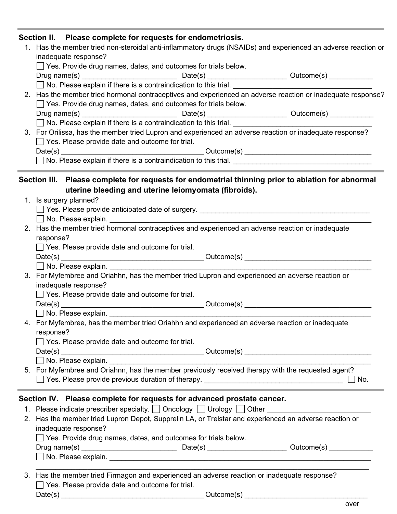| Section II. Please complete for requests for endometriosis.                                                                                                                    |     |  |  |  |  |  |
|--------------------------------------------------------------------------------------------------------------------------------------------------------------------------------|-----|--|--|--|--|--|
| 1. Has the member tried non-steroidal anti-inflammatory drugs (NSAIDs) and experienced an adverse reaction or                                                                  |     |  |  |  |  |  |
| inadequate response?                                                                                                                                                           |     |  |  |  |  |  |
| □ Yes. Provide drug names, dates, and outcomes for trials below.                                                                                                               |     |  |  |  |  |  |
|                                                                                                                                                                                |     |  |  |  |  |  |
|                                                                                                                                                                                |     |  |  |  |  |  |
| 2. Has the member tried hormonal contraceptives and experienced an adverse reaction or inadequate response?                                                                    |     |  |  |  |  |  |
| □ Yes. Provide drug names, dates, and outcomes for trials below.                                                                                                               |     |  |  |  |  |  |
|                                                                                                                                                                                |     |  |  |  |  |  |
| □ No. Please explain if there is a contraindication to this trial.<br>3. For Orilissa, has the member tried Lupron and experienced an adverse reaction or inadequate response? |     |  |  |  |  |  |
|                                                                                                                                                                                |     |  |  |  |  |  |
| $\Box$ Yes. Please provide date and outcome for trial.                                                                                                                         |     |  |  |  |  |  |
|                                                                                                                                                                                |     |  |  |  |  |  |
|                                                                                                                                                                                |     |  |  |  |  |  |
|                                                                                                                                                                                |     |  |  |  |  |  |
| Section III. Please complete for requests for endometrial thinning prior to ablation for abnormal                                                                              |     |  |  |  |  |  |
| uterine bleeding and uterine leiomyomata (fibroids).                                                                                                                           |     |  |  |  |  |  |
| 1. Is surgery planned?                                                                                                                                                         |     |  |  |  |  |  |
|                                                                                                                                                                                |     |  |  |  |  |  |
|                                                                                                                                                                                |     |  |  |  |  |  |
| 2. Has the member tried hormonal contraceptives and experienced an adverse reaction or inadequate                                                                              |     |  |  |  |  |  |
| response?                                                                                                                                                                      |     |  |  |  |  |  |
| $\Box$ Yes. Please provide date and outcome for trial.                                                                                                                         |     |  |  |  |  |  |
|                                                                                                                                                                                |     |  |  |  |  |  |
|                                                                                                                                                                                |     |  |  |  |  |  |
| 3. For Myfembree and Oriahhn, has the member tried Lupron and experienced an adverse reaction or                                                                               |     |  |  |  |  |  |
| inadequate response?                                                                                                                                                           |     |  |  |  |  |  |
| $\Box$ Yes. Please provide date and outcome for trial.                                                                                                                         |     |  |  |  |  |  |
|                                                                                                                                                                                |     |  |  |  |  |  |
|                                                                                                                                                                                |     |  |  |  |  |  |
| 4. For Myfembree, has the member tried Oriahhn and experienced an adverse reaction or inadequate                                                                               |     |  |  |  |  |  |
| response?                                                                                                                                                                      |     |  |  |  |  |  |
| $\Box$ Yes. Please provide date and outcome for trial.                                                                                                                         |     |  |  |  |  |  |
|                                                                                                                                                                                |     |  |  |  |  |  |
|                                                                                                                                                                                |     |  |  |  |  |  |
| 5. For Myfembree and Oriahnn, has the member previously received therapy with the requested agent?                                                                             |     |  |  |  |  |  |
|                                                                                                                                                                                | No. |  |  |  |  |  |

### **Section IV. Please complete for requests for advanced prostate cancer.**

| 2. Has the member tried Lupron Depot, Supprelin LA, or Trelstar and experienced an adverse reaction or |
|--------------------------------------------------------------------------------------------------------|
| inadequate response?                                                                                   |

|  |  |  |  |  |  |  | ◯ Yes. Provide drug names, dates, and outcomes for trials below. |  |  |  |
|--|--|--|--|--|--|--|------------------------------------------------------------------|--|--|--|
|--|--|--|--|--|--|--|------------------------------------------------------------------|--|--|--|

| Drug name(s)                    | Date(s) | Jutcome(s) |
|---------------------------------|---------|------------|
| —<br>$\Box$ No. Please explain. |         |            |

 $\_$  , and the set of the set of the set of the set of the set of the set of the set of the set of the set of the set of the set of the set of the set of the set of the set of the set of the set of the set of the set of th 3. Has the member tried Firmagon and experienced an adverse reaction or inadequate response? □ Yes. Please provide date and outcome for trial. Date(s) \_\_\_\_\_\_\_\_\_\_\_\_\_\_\_\_\_\_\_\_\_\_\_\_\_\_\_\_\_\_\_\_\_\_\_\_ Outcome(s) \_\_\_\_\_\_\_\_\_\_\_\_\_\_\_\_\_\_\_\_\_\_\_\_\_\_\_\_\_\_\_